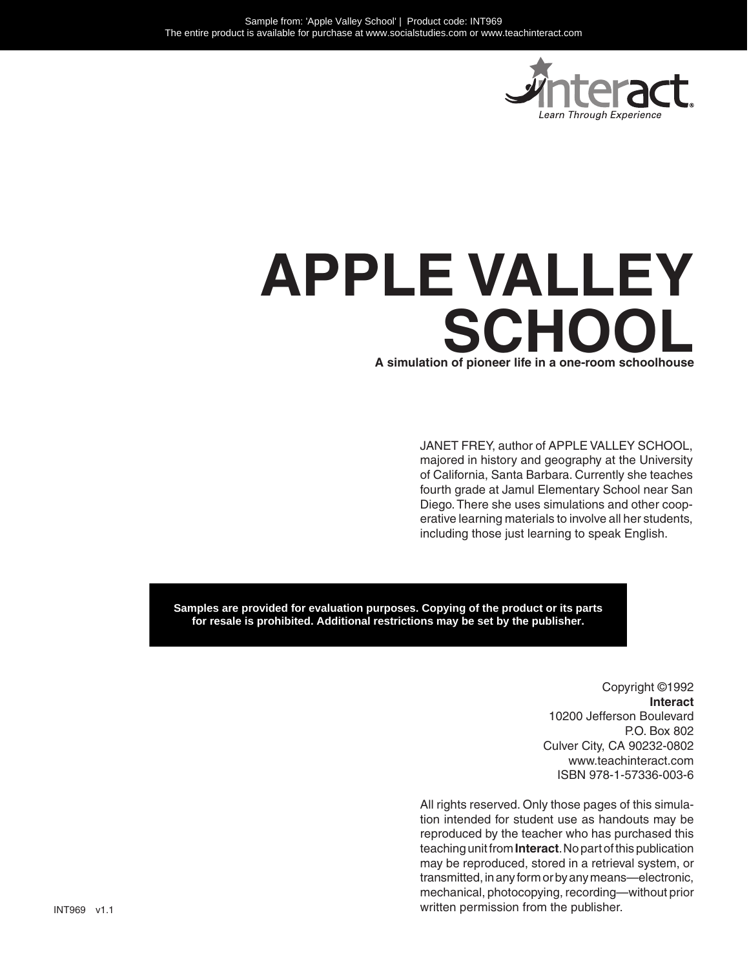

# **A simulation of pioneer life in a one-room schoolhouse APPLE VALLEY SCHOOL**

JANET FREY, author of APPLE VALLEY SCHOOL, majored in history and geography at the University of California, Santa Barbara. Currently she teaches fourth grade at Jamul Elementary School near San Diego. There she uses simulations and other cooperative learning materials to involve all her students, including those just learning to speak English.

**Samples are provided for evaluation purposes. Copying of the product or its parts for resale is prohibited. Additional restrictions may be set by the publisher.**

> Copyright ©1992 **Interact** 10200 Jefferson Boulevard P.O. Box 802 Culver City, CA 90232-0802 www.teachinteract.com ISBN 978-1-57336-003-6

All rights reserved. Only those pages of this simulation intended for student use as handouts may be reproduced by the teacher who has purchased this teaching unit from **Interact**. No part of this publication may be reproduced, stored in a retrieval system, or transmitted, in any form or by any means—electronic, mechanical, photocopying, recording—without prior written permission from the publisher.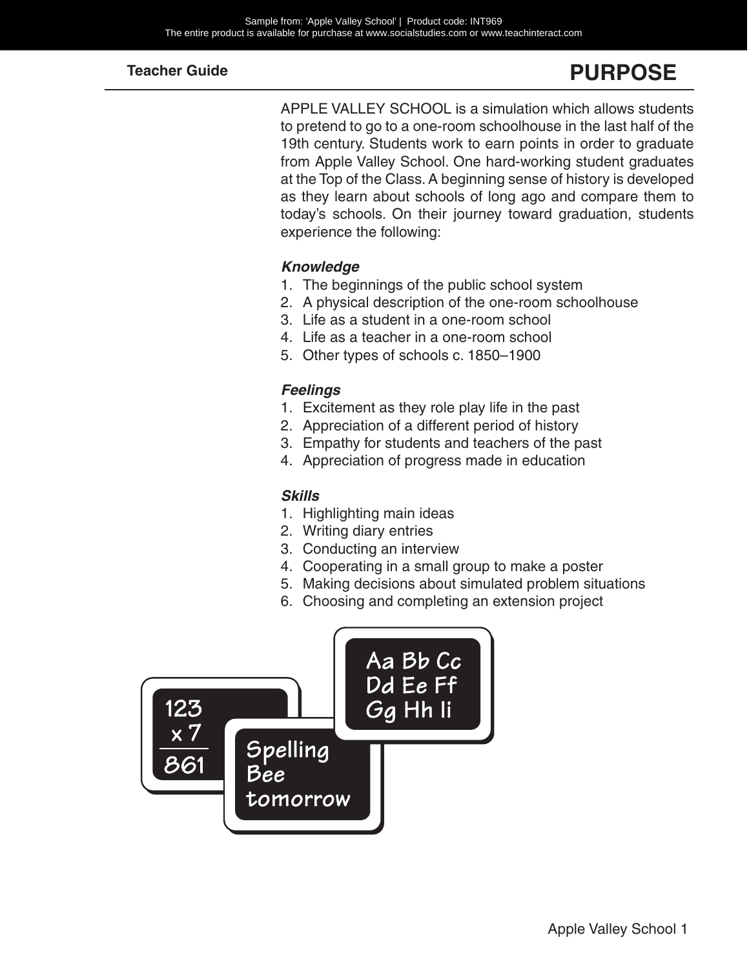# **PURPOSE**

APPLE VALLEY SCHOOL is a simulation which allows students to pretend to go to a one-room schoolhouse in the last half of the 19th century. Students work to earn points in order to graduate from Apple Valley School. One hard-working student graduates at the Top of the Class. A beginning sense of history is developed as they learn about schools of long ago and compare them to today's schools. On their journey toward graduation, students experience the following:

#### *Knowledge*

- 1. The beginnings of the public school system
- 2. A physical description of the one-room schoolhouse
- 3. Life as a student in a one-room school
- 4. Life as a teacher in a one-room school
- 5. Other types of schools c. 1850–1900

#### *Feelings*

- 1. Excitement as they role play life in the past
- 2. Appreciation of a different period of history
- 3. Empathy for students and teachers of the past
- 4. Appreciation of progress made in education

#### *Skills*

- 1. Highlighting main ideas
- 2. Writing diary entries
- 3. Conducting an interview
- 4. Cooperating in a small group to make a poster
- 5. Making decisions about simulated problem situations
- 6. Choosing and completing an extension project

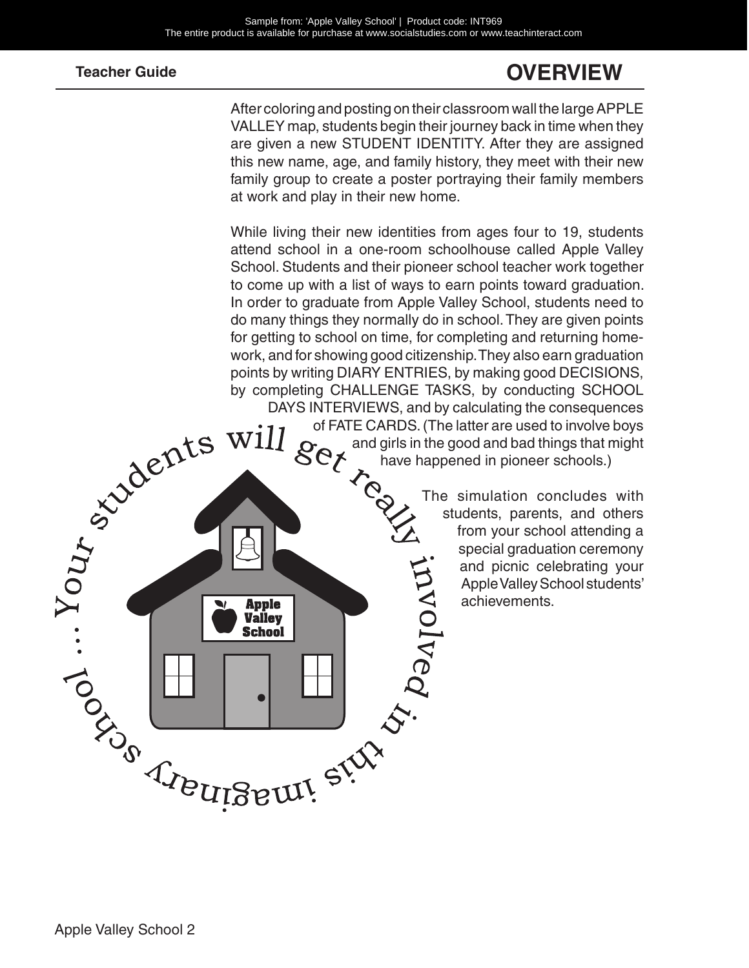# **OVERVIEW**

After coloring and posting on their classroom wall the large APPLE VALLEY map, students begin their journey back in time when they are given a new STUDENT IDENTITY. After they are assigned this new name, age, and family history, they meet with their new family group to create a poster portraying their family members at work and play in their new home.

Apple Valley School 2 While living their new identities from ages four to 19, students attend school in a one-room schoolhouse called Apple Valley School. Students and their pioneer school teacher work together to come up with a list of ways to earn points toward graduation. In order to graduate from Apple Valley School, students need to do many things they normally do in school. They are given points for getting to school on time, for completing and returning homework, and for showing good citizenship. They also earn graduation points by writing DIARY ENTRIES, by making good DECISIONS, by completing CHALLENGE TASKS, by conducting SCHOOL DAYS INTERVIEWS, and by calculating the consequences<br>
of FATE CARDS. (The latter are used to involve boys<br>
and girls in the good and bad things that might<br>
have happened in pioneer schools.)<br>
The simulation concludes with of FATE CARDS. (The latter are used to involve boys and girls in the good and bad things that might

Paypont!

have happened in pioneer schools.)

The simulation concludes with students, parents, and others from your school attending a special graduation ceremony and picnic celebrating your Apple Valley School students' achievements.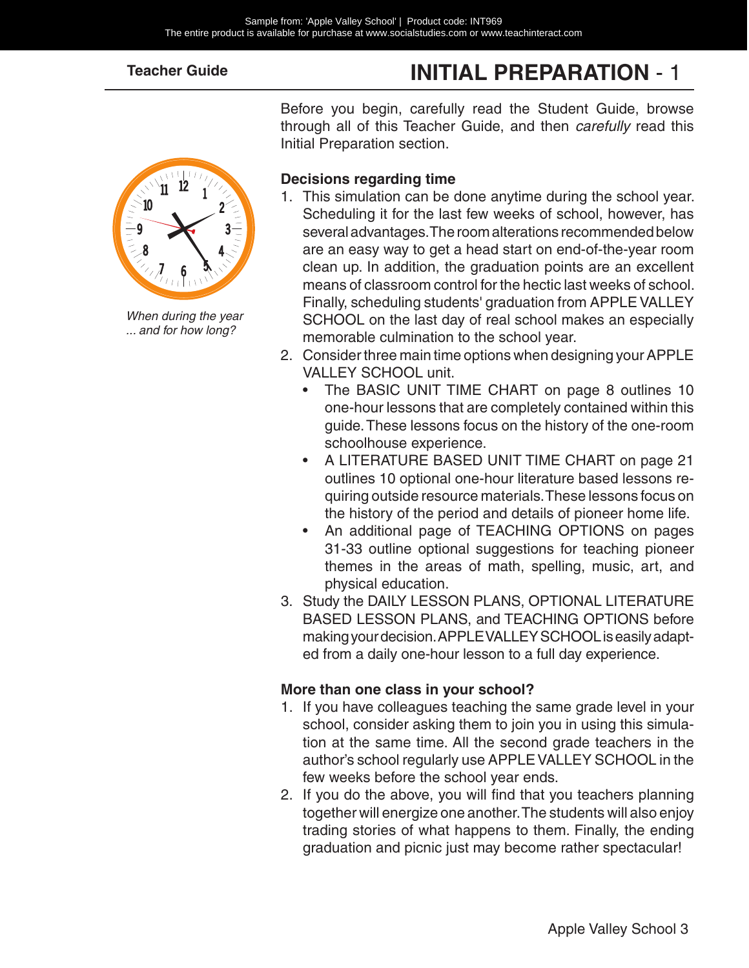# **INITIAL PREPARATION** - 1



*When during the year ... and for how long?*

Before you begin, carefully read the Student Guide, browse through all of this Teacher Guide, and then *carefully* read this Initial Preparation section.

#### **Decisions regarding time**

- 1. This simulation can be done anytime during the school year. Scheduling it for the last few weeks of school, however, has several advantages. The room alterations recommended below are an easy way to get a head start on end-of-the-year room clean up. In addition, the graduation points are an excellent means of classroom control for the hectic last weeks of school. Finally, scheduling students' graduation from APPLE VALLEY SCHOOL on the last day of real school makes an especially memorable culmination to the school year.
- 2. Consider three main time options when designing your APPLE VALLEY SCHOOL unit.
	- The BASIC UNIT TIME CHART on page 8 outlines 10 one-hour lessons that are completely contained within this guide. These lessons focus on the history of the one-room schoolhouse experience.
	- A LITERATURE BASED UNIT TIME CHART on page 21 outlines 10 optional one-hour literature based lessons requiring outside resource materials. These lessons focus on the history of the period and details of pioneer home life.
	- An additional page of TEACHING OPTIONS on pages 31-33 outline optional suggestions for teaching pioneer themes in the areas of math, spelling, music, art, and physical education.
- 3. Study the DAILY LESSON PLANS, OPTIONAL LITERATURE BASED LESSON PLANS, and TEACHING OPTIONS before making your decision. APPLE VALLEY SCHOOL is easily adapted from a daily one-hour lesson to a full day experience.

#### **More than one class in your school?**

- 1. If you have colleagues teaching the same grade level in your school, consider asking them to join you in using this simulation at the same time. All the second grade teachers in the author's school regularly use APPLE VALLEY SCHOOL in the few weeks before the school year ends.
- 2. If you do the above, you will find that you teachers planning together will energize one another. The students will also enjoy trading stories of what happens to them. Finally, the ending graduation and picnic just may become rather spectacular!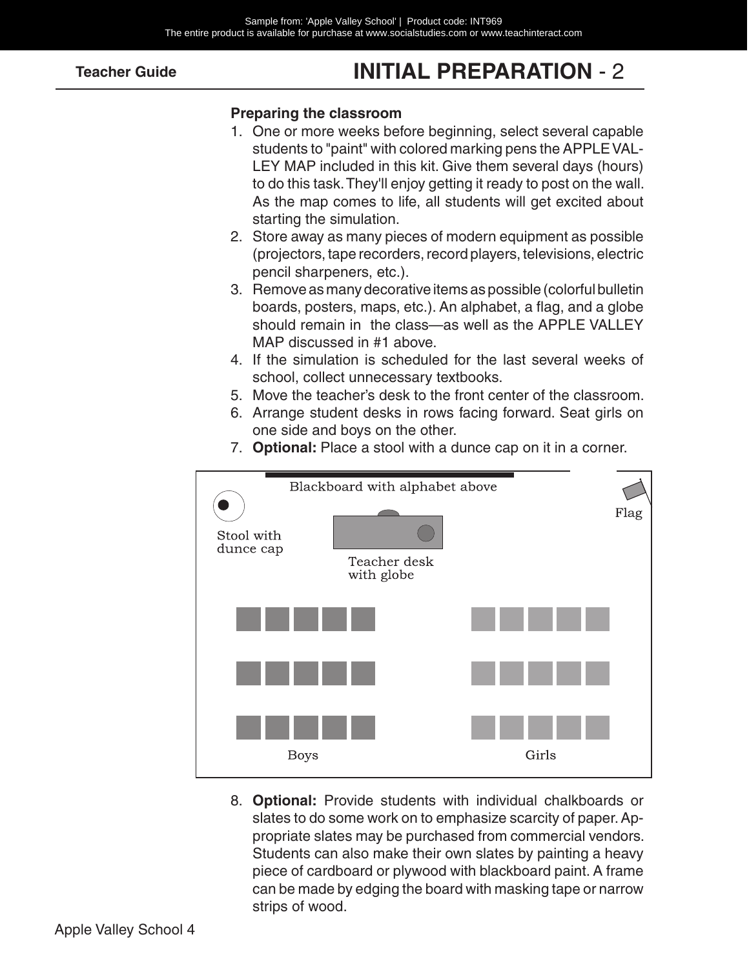# **INITIAL PREPARATION** - 2

#### **Preparing the classroom**

- 1. One or more weeks before beginning, select several capable students to "paint" with colored marking pens the APPLE VAL-LEY MAP included in this kit. Give them several days (hours) to do this task. They'll enjoy getting it ready to post on the wall. As the map comes to life, all students will get excited about starting the simulation.
- 2. Store away as many pieces of modern equipment as possible (projectors, tape recorders, record players, televisions, electric pencil sharpeners, etc.).
- 3. Remove as many decorative items as possible (colorful bulletin boards, posters, maps, etc.). An alphabet, a flag, and a globe should remain in the class—as well as the APPLE VALLEY MAP discussed in #1 above.
- 4. If the simulation is scheduled for the last several weeks of school, collect unnecessary textbooks.
- 5. Move the teacher's desk to the front center of the classroom.
- 6. Arrange student desks in rows facing forward. Seat girls on one side and boys on the other.



7. **Optional:** Place a stool with a dunce cap on it in a corner.

8. **Optional:** Provide students with individual chalkboards or slates to do some work on to emphasize scarcity of paper. Appropriate slates may be purchased from commercial vendors. Students can also make their own slates by painting a heavy piece of cardboard or plywood with blackboard paint. A frame can be made by edging the board with masking tape or narrow strips of wood.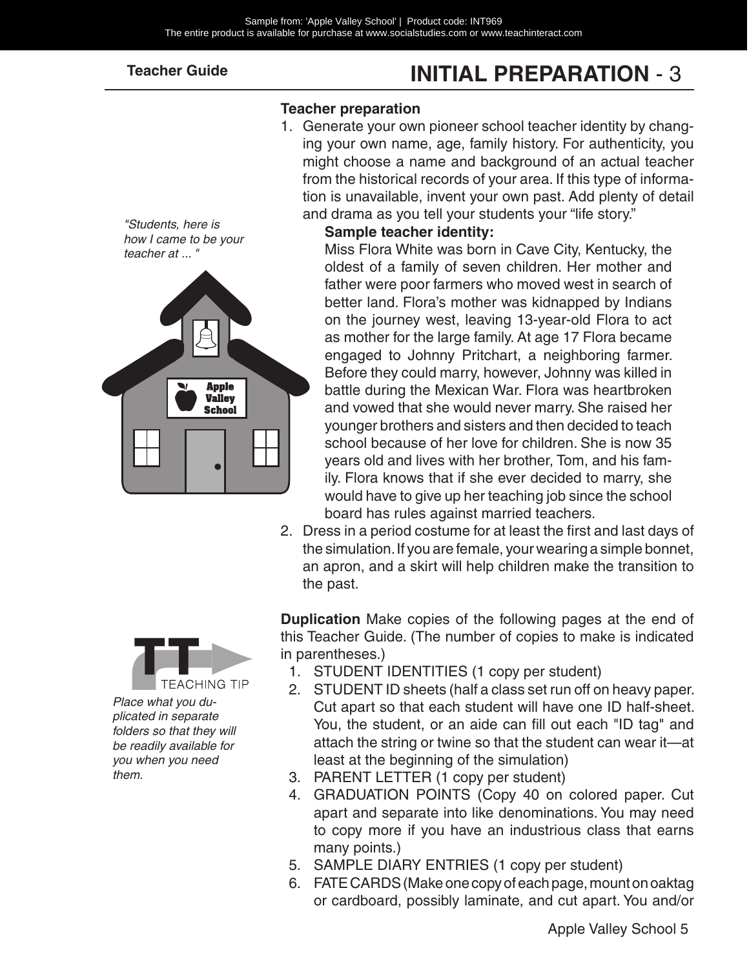# **INITIAL PREPARATION** - 3

#### **Teacher preparation**

1. Generate your own pioneer school teacher identity by changing your own name, age, family history. For authenticity, you might choose a name and background of an actual teacher from the historical records of your area. If this type of information is unavailable, invent your own past. Add plenty of detail and drama as you tell your students your "life story."





#### **Sample teacher identity:**

Miss Flora White was born in Cave City, Kentucky, the oldest of a family of seven children. Her mother and father were poor farmers who moved west in search of better land. Flora's mother was kidnapped by Indians on the journey west, leaving 13-year-old Flora to act as mother for the large family. At age 17 Flora became engaged to Johnny Pritchart, a neighboring farmer. Before they could marry, however, Johnny was killed in battle during the Mexican War. Flora was heartbroken and vowed that she would never marry. She raised her younger brothers and sisters and then decided to teach school because of her love for children. She is now 35 years old and lives with her brother, Tom, and his family. Flora knows that if she ever decided to marry, she would have to give up her teaching job since the school board has rules against married teachers.

2. Dress in a period costume for at least the first and last days of the simulation. If you are female, your wearing a simple bonnet, an apron, and a skirt will help children make the transition to the past.



*Place what you duplicated in separate folders so that they will be readily available for you when you need them.*

**Duplication** Make copies of the following pages at the end of this Teacher Guide. (The number of copies to make is indicated in parentheses.)

- 1. STUDENT IDENTITIES (1 copy per student)
- 2. STUDENT ID sheets (half a class set run off on heavy paper. Cut apart so that each student will have one ID half-sheet. You, the student, or an aide can fill out each "ID tag" and attach the string or twine so that the student can wear it—at least at the beginning of the simulation)
- 3. PARENT LETTER (1 copy per student)
- 4. GRADUATION POINTS (Copy 40 on colored paper. Cut apart and separate into like denominations. You may need to copy more if you have an industrious class that earns many points.)
- 5. SAMPLE DIARY ENTRIES (1 copy per student)
- 6. FATE CARDS (Make one copy of each page, mount on oaktag or cardboard, possibly laminate, and cut apart. You and/or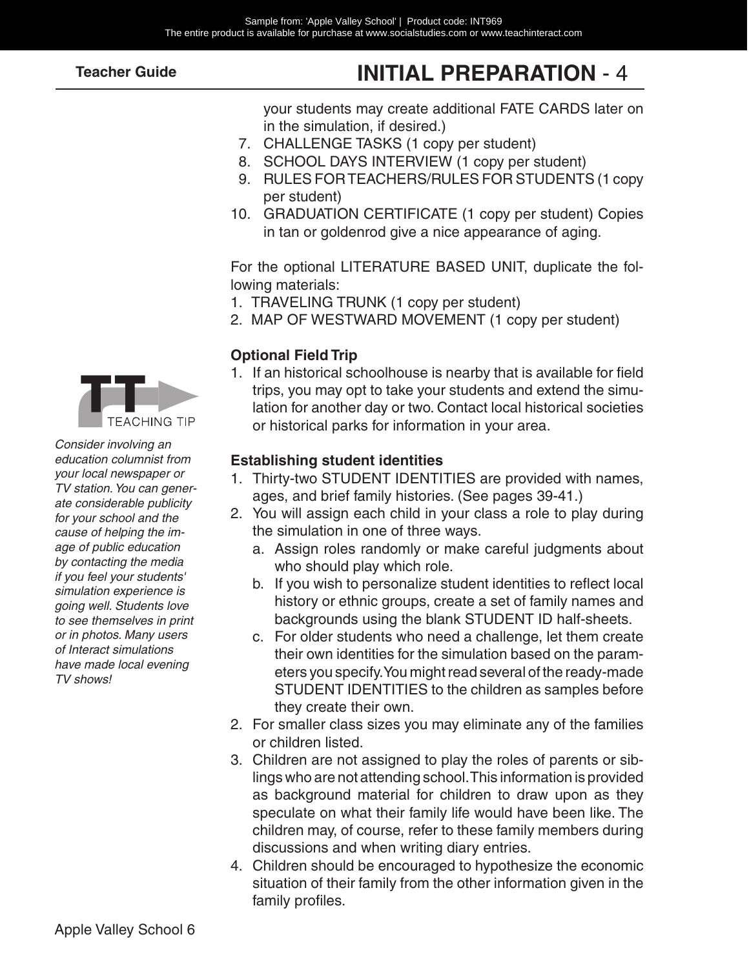# **INITIAL PREPARATION** - 4

your students may create additional FATE CARDS later on in the simulation, if desired.)

- 7. CHALLENGE TASKS (1 copy per student)
- 8. SCHOOL DAYS INTERVIEW (1 copy per student)
- 9. RULES FOR TEACHERS/RULES FOR STUDENTS (1 copy per student)
- 10. GRADUATION CERTIFICATE (1 copy per student) Copies in tan or goldenrod give a nice appearance of aging.

For the optional LITERATURE BASED UNIT, duplicate the following materials:

- 1. TRAVELING TRUNK (1 copy per student)
- 2. MAP OF WESTWARD MOVEMENT (1 copy per student)

#### **Optional Field Trip**

1. If an historical schoolhouse is nearby that is available for field trips, you may opt to take your students and extend the simulation for another day or two. Contact local historical societies or historical parks for information in your area.

#### **Establishing student identities**

- 1. Thirty-two STUDENT IDENTITIES are provided with names, ages, and brief family histories. (See pages 39-41.)
- 2. You will assign each child in your class a role to play during the simulation in one of three ways.
	- a. Assign roles randomly or make careful judgments about who should play which role.
	- b. If you wish to personalize student identities to reflect local history or ethnic groups, create a set of family names and backgrounds using the blank STUDENT ID half-sheets.
	- c. For older students who need a challenge, let them create their own identities for the simulation based on the parameters you specify. You might read several of the ready-made STUDENT IDENTITIES to the children as samples before they create their own.
- 2. For smaller class sizes you may eliminate any of the families or children listed.
- 3. Children are not assigned to play the roles of parents or siblings who are not attending school. This information is provided as background material for children to draw upon as they speculate on what their family life would have been like. The children may, of course, refer to these family members during discussions and when writing diary entries.
- 4. Children should be encouraged to hypothesize the economic situation of their family from the other information given in the family profiles.



*Consider involving an education columnist from your local newspaper or TV station. You can generate considerable publicity for your school and the cause of helping the image of public education by contacting the media if you feel your students' simulation experience is going well. Students love to see themselves in print or in photos. Many users of Interact simulations have made local evening TV shows!*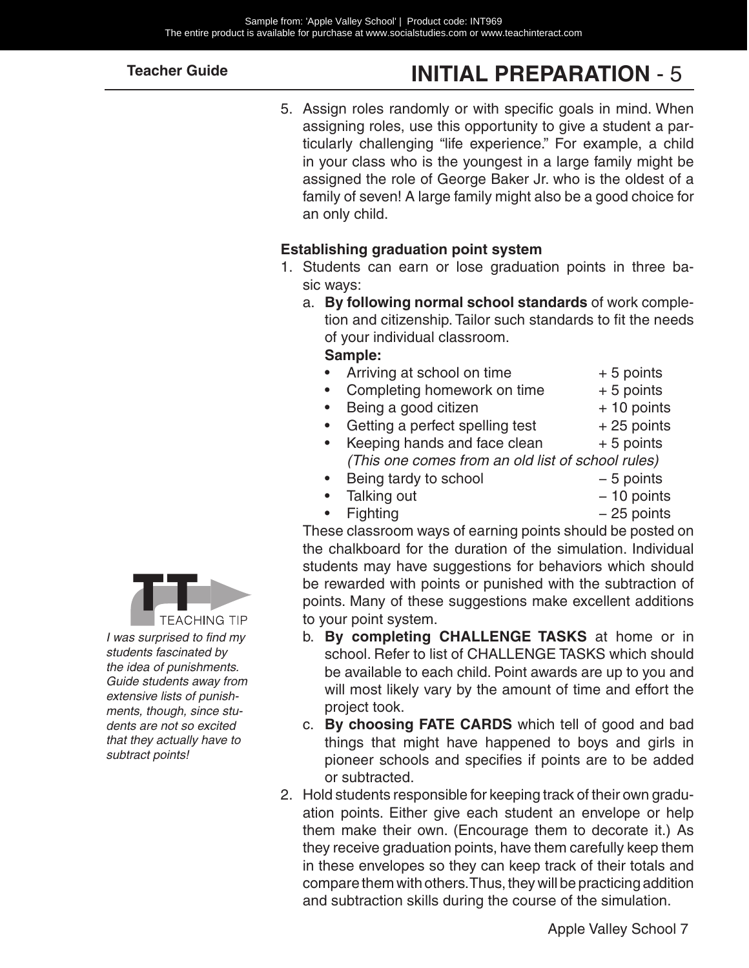# **INITIAL PREPARATION** - 5

5. Assign roles randomly or with specific goals in mind. When assigning roles, use this opportunity to give a student a particularly challenging "life experience." For example, a child in your class who is the youngest in a large family might be assigned the role of George Baker Jr. who is the oldest of a family of seven! A large family might also be a good choice for an only child.

#### **Establishing graduation point system**

- 1. Students can earn or lose graduation points in three basic ways:
	- a. **By following normal school standards** of work completion and citizenship. Tailor such standards to fit the needs of your individual classroom.

#### **Sample:**

- Arriving at school on time  $+5$  points
- Completing homework on time  $+5$  points
	- Being a good citizen  $+10$  points
		-
- Getting a perfect spelling test  $+25$  points
- Keeping hands and face clean  $+5$  points *(This one comes from an old list of school rules)*
	- Being tardy to school  $-5$  points
- Talking out − 10 points
- Fighting − 25 points

These classroom ways of earning points should be posted on the chalkboard for the duration of the simulation. Individual students may have suggestions for behaviors which should be rewarded with points or punished with the subtraction of points. Many of these suggestions make excellent additions to your point system.

- b. **By completing CHALLENGE TASKS** at home or in school. Refer to list of CHALLENGE TASKS which should be available to each child. Point awards are up to you and will most likely vary by the amount of time and effort the project took.
- c. **By choosing FATE CARDS** which tell of good and bad things that might have happened to boys and girls in pioneer schools and specifies if points are to be added or subtracted.
- 2. Hold students responsible for keeping track of their own graduation points. Either give each student an envelope or help them make their own. (Encourage them to decorate it.) As they receive graduation points, have them carefully keep them in these envelopes so they can keep track of their totals and compare them with others. Thus, they will be practicing addition and subtraction skills during the course of the simulation.



*I was surprised to find my students fascinated by the idea of punishments. Guide students away from extensive lists of punishments, though, since students are not so excited that they actually have to subtract points!*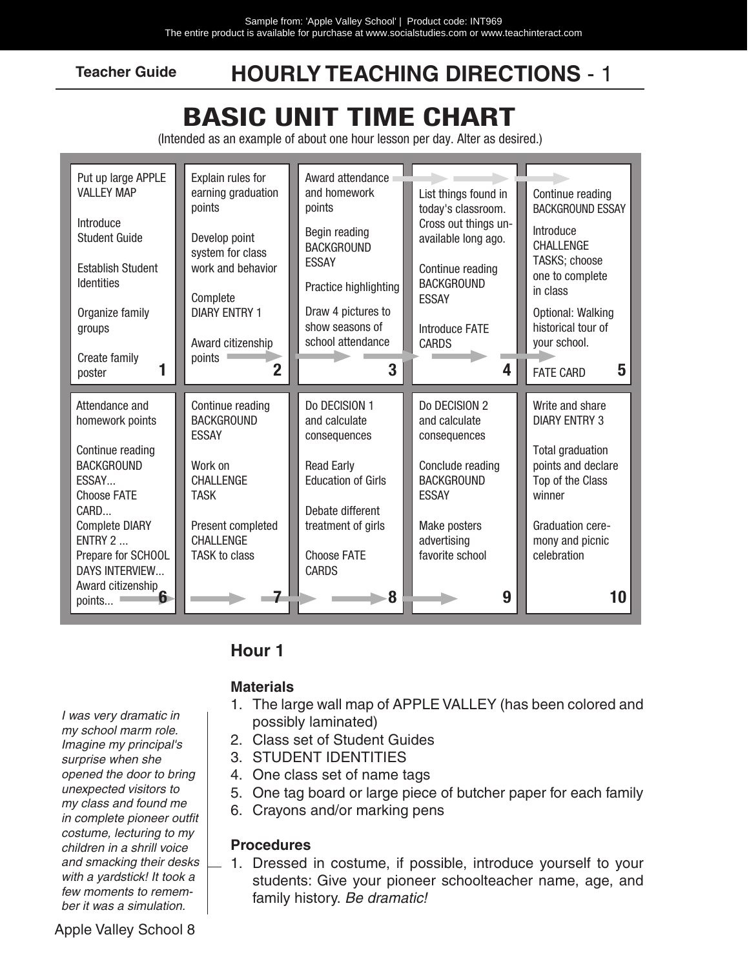### **HOURLY TEACHING DIRECTIONS** - 1

# **BASIC UNIT TIME CHART**

(Intended as an example of about one hour lesson per day. Alter as desired.)

| Put up large APPLE<br><b>VALLEY MAP</b><br>Introduce<br><b>Student Guide</b><br><b>Establish Student</b><br><b>Identities</b><br>Organize family<br>groups                                                                | Explain rules for<br>earning graduation<br>points<br>Develop point<br>system for class<br>work and behavior<br>Complete<br><b>DIARY ENTRY 1</b>                      | Award attendance<br>and homework<br>points<br>Begin reading<br><b>BACKGROUND</b><br><b>ESSAY</b><br>Practice highlighting<br>Draw 4 pictures to<br>show seasons of               | List things found in<br>today's classroom.<br>Cross out things un-<br>available long ago.<br>Continue reading<br><b>BACKGROUND</b><br><b>ESSAY</b><br><b>Introduce FATE</b> | Continue reading<br><b>BACKGROUND ESSAY</b><br>Introduce<br><b>CHALLENGE</b><br>TASKS; choose<br>one to complete<br>in class<br>Optional: Walking<br>historical tour of      |
|---------------------------------------------------------------------------------------------------------------------------------------------------------------------------------------------------------------------------|----------------------------------------------------------------------------------------------------------------------------------------------------------------------|----------------------------------------------------------------------------------------------------------------------------------------------------------------------------------|-----------------------------------------------------------------------------------------------------------------------------------------------------------------------------|------------------------------------------------------------------------------------------------------------------------------------------------------------------------------|
| Create family<br>poster                                                                                                                                                                                                   | Award citizenship<br>points<br>$\bf{2}$                                                                                                                              | school attendance<br>3                                                                                                                                                           | <b>CARDS</b><br>4                                                                                                                                                           | your school.<br>5<br><b>FATE CARD</b>                                                                                                                                        |
| Attendance and<br>homework points<br>Continue reading<br><b>BACKGROUND</b><br>ESSAY<br><b>Choose FATE</b><br>CARD<br><b>Complete DIARY</b><br>ENTRY 2<br>Prepare for SCHOOL<br><b>DAYS INTERVIEW</b><br>Award citizenship | Continue reading<br><b>BACKGROUND</b><br><b>ESSAY</b><br>Work on<br><b>CHALLENGE</b><br><b>TASK</b><br>Present completed<br><b>CHALLENGE</b><br><b>TASK to class</b> | Do DECISION 1<br>and calculate<br>consequences<br><b>Read Early</b><br><b>Education of Girls</b><br>Debate different<br>treatment of girls<br><b>Choose FATE</b><br><b>CARDS</b> | Do DECISION 2<br>and calculate<br>consequences<br>Conclude reading<br><b>BACKGROUND</b><br><b>ESSAY</b><br>Make posters<br>advertising<br>favorite school                   | Write and share<br><b>DIARY ENTRY 3</b><br><b>Total graduation</b><br>points and declare<br>Top of the Class<br>winner<br>Graduation cere-<br>mony and picnic<br>celebration |
| h<br>points                                                                                                                                                                                                               |                                                                                                                                                                      | 8                                                                                                                                                                                | 9                                                                                                                                                                           | 10                                                                                                                                                                           |

#### **Hour 1**

#### **Materials**

- *I was very dramatic in my school marm role. Imagine my principal's surprise when she opened the door to bring unexpected visitors to my class and found me in complete pioneer outfit costume, lecturing to my children in a shrill voice and smacking their desks with a yardstick! It took a few moments to remember it was a simulation.*
- 1. The large wall map of APPLE VALLEY (has been colored and possibly laminated)
- 2. Class set of Student Guides
- 3. STUDENT IDENTITIES
- 4. One class set of name tags
- 5. One tag board or large piece of butcher paper for each family
- 6. Crayons and/or marking pens

#### **Procedures**

1. Dressed in costume, if possible, introduce yourself to your students: Give your pioneer schoolteacher name, age, and family history. *Be dramatic!*

Apple Valley School 8